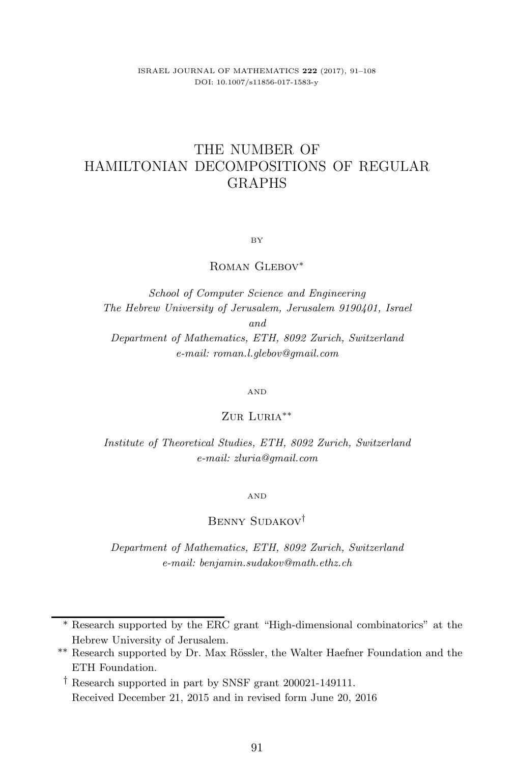ISRAEL JOURNAL OF MATHEMATICS **222** (2017), 91–108 DOI: 10.1007/s11856-017-1583-y

# THE NUMBER OF HAMILTONIAN DECOMPOSITIONS OF REGULAR GRAPHS

BY

ROMAN GLEBOV<sup>\*</sup>

*School of Computer Science and Engineering The Hebrew University of Jerusalem, Jerusalem 9190401, Israel and Department of Mathematics, ETH, 8092 Zurich, Switzerland e-mail: roman.l.glebov@gmail.com*

AND

Zur Luria∗∗

*Institute of Theoretical Studies, ETH, 8092 Zurich, Switzerland e-mail: zluria@gmail.com*

AND

Benny Sudakov†

*Department of Mathematics, ETH, 8092 Zurich, Switzerland e-mail: benjamin.sudakov@math.ethz.ch*

<sup>∗</sup> Research supported by the ERC grant "High-dimensional combinatorics" at the Hebrew University of Jerusalem.

<sup>∗∗</sup> Research supported by Dr. Max R¨ossler, the Walter Haefner Foundation and the ETH Foundation.

<sup>†</sup> Research supported in part by SNSF grant 200021-149111. Received December 21, 2015 and in revised form June 20, 2016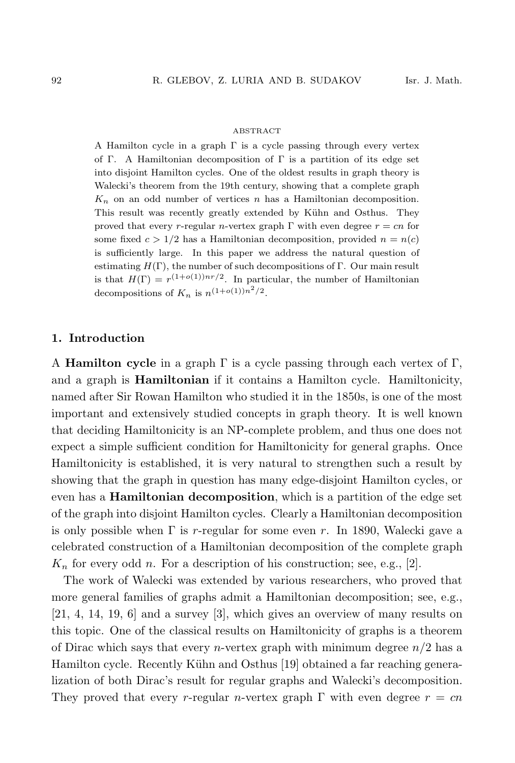#### ABSTRACT

A Hamilton cycle in a graph  $\Gamma$  is a cycle passing through every vertex of Γ. A Hamiltonian decomposition of Γ is a partition of its edge set into disjoint Hamilton cycles. One of the oldest results in graph theory is Walecki's theorem from the 19th century, showing that a complete graph  $K_n$  on an odd number of vertices  $n$  has a Hamiltonian decomposition. This result was recently greatly extended by Kühn and Osthus. They proved that every r-regular n-vertex graph  $\Gamma$  with even degree  $r = cn$  for some fixed  $c > 1/2$  has a Hamiltonian decomposition, provided  $n = n(c)$ is sufficiently large. In this paper we address the natural question of estimating  $H(\Gamma)$ , the number of such decompositions of Γ. Our main result is that  $H(\Gamma) = r^{(1+o(1))nr/2}$ . In particular, the number of Hamiltonian decompositions of  $K_n$  is  $n^{(1+o(1))n^2/2}$ .

# **1. Introduction**

A **Hamilton cycle** in a graph Γ is a cycle passing through each vertex of Γ, and a graph is **Hamiltonian** if it contains a Hamilton cycle. Hamiltonicity, named after Sir Rowan Hamilton who studied it in the 1850s, is one of the most important and extensively studied concepts in graph theory. It is well known that deciding Hamiltonicity is an NP-complete problem, and thus one does not expect a simple sufficient condition for Hamiltonicity for general graphs. Once Hamiltonicity is established, it is very natural to strengthen such a result by showing that the graph in question has many edge-disjoint Hamilton cycles, or even has a **Hamiltonian decomposition**, which is a partition of the edge set of the graph into disjoint Hamilton cycles. Clearly a Hamiltonian decomposition is only possible when  $\Gamma$  is r-regular for some even r. In 1890, Walecki gave a celebrated construction of a Hamiltonian decomposition of the complete graph  $K_n$  for every odd n. For a description of his construction; see, e.g., [2].

The work of Walecki was extended by various researchers, who proved that more general families of graphs admit a Hamiltonian decomposition; see, e.g., [21, 4, 14, 19, 6] and a survey [3], which gives an overview of many results on this topic. One of the classical results on Hamiltonicity of graphs is a theorem of Dirac which says that every *n*-vertex graph with minimum degree  $n/2$  has a Hamilton cycle. Recently Kühn and Osthus [19] obtained a far reaching generalization of both Dirac's result for regular graphs and Walecki's decomposition. They proved that every r-regular n-vertex graph  $\Gamma$  with even degree  $r = cn$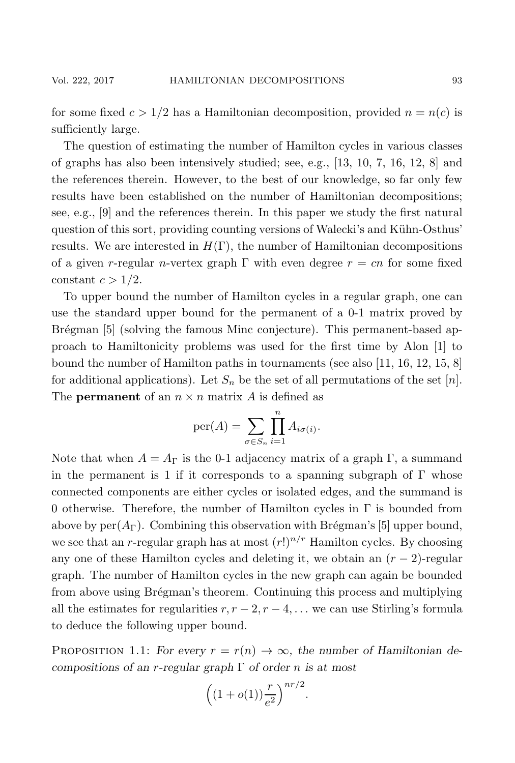for some fixed  $c > 1/2$  has a Hamiltonian decomposition, provided  $n = n(c)$  is sufficiently large.

The question of estimating the number of Hamilton cycles in various classes of graphs has also been intensively studied; see, e.g., [13, 10, 7, 16, 12, 8] and the references therein. However, to the best of our knowledge, so far only few results have been established on the number of Hamiltonian decompositions; see, e.g., [9] and the references therein. In this paper we study the first natural question of this sort, providing counting versions of Walecki's and Kühn-Osthus' results. We are interested in  $H(\Gamma)$ , the number of Hamiltonian decompositions of a given r-regular n-vertex graph  $\Gamma$  with even degree  $r = cn$  for some fixed constant  $c > 1/2$ .

To upper bound the number of Hamilton cycles in a regular graph, one can use the standard upper bound for the permanent of a 0-1 matrix proved by Brégman [5] (solving the famous Minc conjecture). This permanent-based approach to Hamiltonicity problems was used for the first time by Alon [1] to bound the number of Hamilton paths in tournaments (see also [11, 16, 12, 15, 8] for additional applications). Let  $S_n$  be the set of all permutations of the set [n]. The **permanent** of an  $n \times n$  matrix A is defined as

$$
\text{per}(A) = \sum_{\sigma \in S_n} \prod_{i=1}^n A_{i\sigma(i)}.
$$

Note that when  $A = A_{\Gamma}$  is the 0-1 adjacency matrix of a graph  $\Gamma$ , a summand in the permanent is 1 if it corresponds to a spanning subgraph of  $\Gamma$  whose connected components are either cycles or isolated edges, and the summand is 0 otherwise. Therefore, the number of Hamilton cycles in  $\Gamma$  is bounded from above by  $per(A_{\Gamma})$ . Combining this observation with Brégman's [5] upper bound, we see that an r-regular graph has at most  $(r!)^{n/r}$  Hamilton cycles. By choosing any one of these Hamilton cycles and deleting it, we obtain an  $(r-2)$ -regular graph. The number of Hamilton cycles in the new graph can again be bounded from above using Brégman's theorem. Continuing this process and multiplying all the estimates for regularities  $r, r-2, r-4, \ldots$  we can use Stirling's formula to deduce the following upper bound.

PROPOSITION 1.1: *For every*  $r = r(n) \rightarrow \infty$ , *the number of Hamiltonian decompositions of an* r*-regular graph* Γ *of order* n *is at most*

$$
\left((1+o(1))\frac{r}{e^2}\right)^{nr/2}.
$$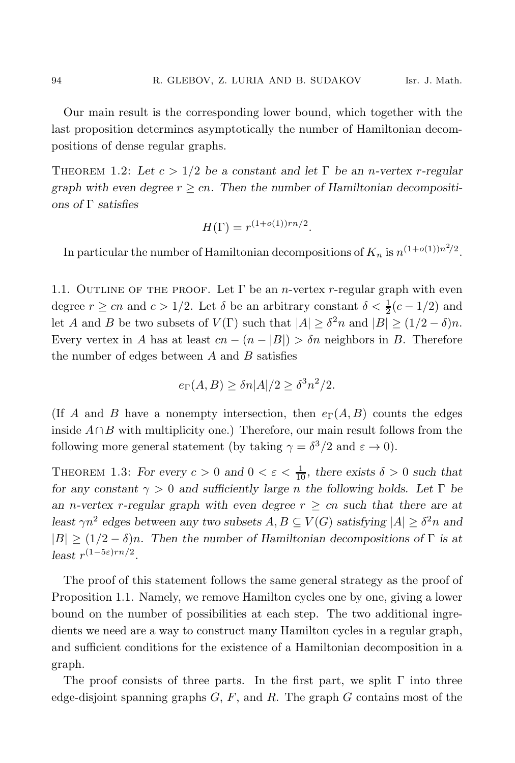Our main result is the corresponding lower bound, which together with the last proposition determines asymptotically the number of Hamiltonian decompositions of dense regular graphs.

THEOREM 1.2: Let  $c > 1/2$  be a constant and let  $\Gamma$  be an *n*-vertex *r*-regular graph with even degree  $r \geq cn$ . Then the number of Hamiltonian decompositi*ons of* Γ *satisfies*

$$
H(\Gamma) = r^{(1+o(1))rn/2}.
$$

In particular the number of Hamiltonian decompositions of  $K_n$  is  $n^{(1+o(1))n^2/2}$ .

1.1. OUTLINE OF THE PROOF. Let  $\Gamma$  be an *n*-vertex r-regular graph with even degree  $r \geq cn$  and  $c > 1/2$ . Let  $\delta$  be an arbitrary constant  $\delta < \frac{1}{2}(c - 1/2)$  and let A and B be two subsets of  $V(\Gamma)$  such that  $|A| \geq \delta^2 n$  and  $|B| \geq (1/2 - \delta)n$ . Every vertex in A has at least  $cn - (n - |B|) > \delta n$  neighbors in B. Therefore the number of edges between  $A$  and  $B$  satisfies

$$
e_{\Gamma}(A,B) \ge \delta n |A|/2 \ge \delta^3 n^2/2.
$$

(If A and B have a nonempty intersection, then  $e_{\Gamma}(A, B)$  counts the edges inside  $A \cap B$  with multiplicity one.) Therefore, our main result follows from the following more general statement (by taking  $\gamma = \delta^3/2$  and  $\varepsilon \to 0$ ).

THEOREM 1.3: *For every*  $c > 0$  and  $0 < \varepsilon < \frac{1}{10}$ , there exists  $\delta > 0$  such that *for any constant*  $\gamma > 0$  *and sufficiently large n* the following holds. Let  $\Gamma$  be *an n*-vertex *r*-regular graph with even degree  $r \geq cn$  such that there are at *least*  $\gamma n^2$  *edges between any two subsets*  $A, B \subseteq V(G)$  *satisfying*  $|A| > \delta^2 n$  *and*  $|B| \ge (1/2 - \delta)n$ . Then the number of Hamiltonian decompositions of  $\Gamma$  is at *least*  $r^{(1-5\varepsilon)rn/2}$ .

The proof of this statement follows the same general strategy as the proof of Proposition 1.1. Namely, we remove Hamilton cycles one by one, giving a lower bound on the number of possibilities at each step. The two additional ingredients we need are a way to construct many Hamilton cycles in a regular graph, and sufficient conditions for the existence of a Hamiltonian decomposition in a graph.

The proof consists of three parts. In the first part, we split  $\Gamma$  into three edge-disjoint spanning graphs  $G, F$ , and  $R$ . The graph  $G$  contains most of the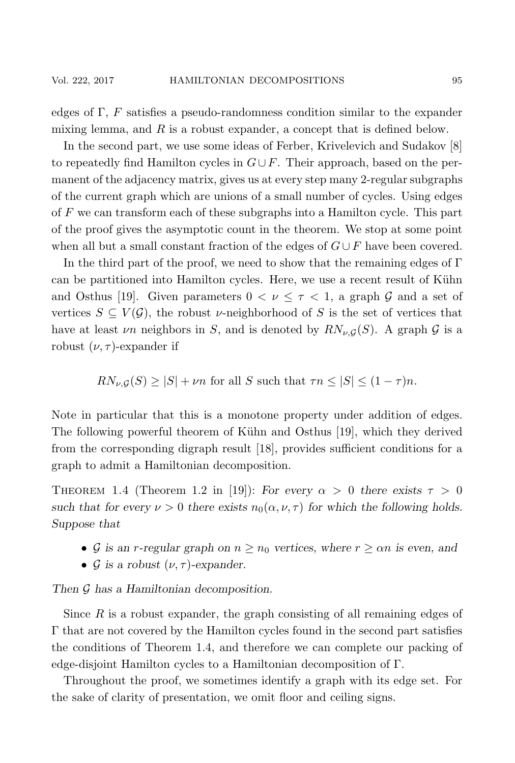edges of  $\Gamma$ , F satisfies a pseudo-randomness condition similar to the expander mixing lemma, and  $R$  is a robust expander, a concept that is defined below.

In the second part, we use some ideas of Ferber, Krivelevich and Sudakov [8] to repeatedly find Hamilton cycles in  $G \cup F$ . Their approach, based on the permanent of the adjacency matrix, gives us at every step many 2-regular subgraphs of the current graph which are unions of a small number of cycles. Using edges of F we can transform each of these subgraphs into a Hamilton cycle. This part of the proof gives the asymptotic count in the theorem. We stop at some point when all but a small constant fraction of the edges of  $G \cup F$  have been covered.

In the third part of the proof, we need to show that the remaining edges of  $\Gamma$ can be partitioned into Hamilton cycles. Here, we use a recent result of Kühn and Osthus [19]. Given parameters  $0 < \nu \leq \tau < 1$ , a graph G and a set of vertices  $S \subseteq V(\mathcal{G})$ , the robust *v*-neighborhood of S is the set of vertices that have at least  $\nu$ n neighbors in S, and is denoted by  $RN_{\nu,G}(S)$ . A graph G is a robust  $(\nu, \tau)$ -expander if

$$
RN_{\nu,\mathcal{G}}(S) \ge |S| + \nu n
$$
 for all S such that  $\tau n \le |S| \le (1 - \tau)n$ .

Note in particular that this is a monotone property under addition of edges. The following powerful theorem of Kühn and Osthus [19], which they derived from the corresponding digraph result [18], provides sufficient conditions for a graph to admit a Hamiltonian decomposition.

THEOREM 1.4 (Theorem 1.2 in [19]): *For every*  $\alpha > 0$  *there exists*  $\tau > 0$ *such that for every*  $\nu > 0$  *there exists*  $n_0(\alpha, \nu, \tau)$  *for which the following holds. Suppose that*

- G is an *r*-regular graph on  $n \geq n_0$  vertices, where  $r \geq \alpha n$  is even, and
- $\mathcal G$  *is a robust*  $(\nu, \tau)$ -expander.

*Then* G *has a Hamiltonian decomposition.*

Since  $R$  is a robust expander, the graph consisting of all remaining edges of Γ that are not covered by the Hamilton cycles found in the second part satisfies the conditions of Theorem 1.4, and therefore we can complete our packing of edge-disjoint Hamilton cycles to a Hamiltonian decomposition of Γ.

Throughout the proof, we sometimes identify a graph with its edge set. For the sake of clarity of presentation, we omit floor and ceiling signs.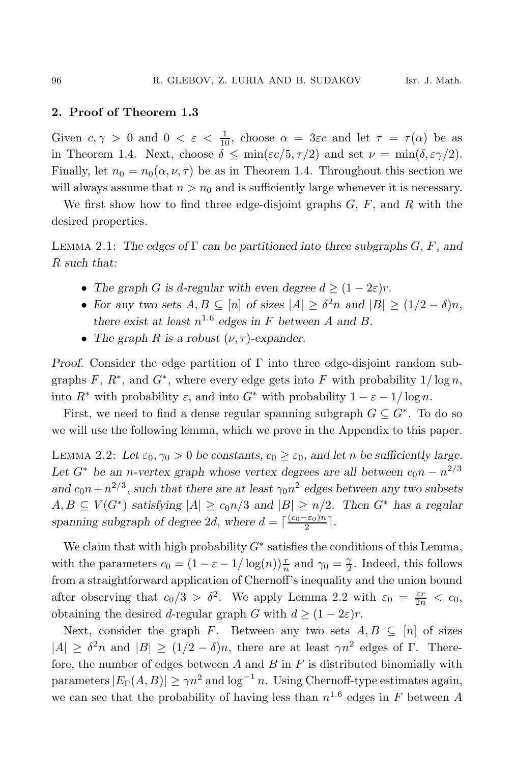# **2. Proof of Theorem 1.3**

Given  $c, \gamma > 0$  and  $0 < \varepsilon < \frac{1}{10}$ , choose  $\alpha = 3\varepsilon c$  and let  $\tau = \tau(\alpha)$  be as in Theorem 1.4. Next, choose  $\delta \leq \min(\varepsilon c/5, \tau/2)$  and set  $\nu = \min(\delta, \varepsilon \gamma/2)$ . Finally, let  $n_0 = n_0(\alpha, \nu, \tau)$  be as in Theorem 1.4. Throughout this section we will always assume that  $n>n_0$  and is sufficiently large whenever it is necessary.

We first show how to find three edge-disjoint graphs  $G, F$ , and  $R$  with the desired properties.

Lemma 2.1: *The edges of* Γ *can be partitioned into three subgraphs* G*,* F*, and* R *such that:*

- The graph G is d-regular with even degree  $d \geq (1 2\varepsilon)r$ .
- For any two sets  $A, B \subseteq [n]$  of sizes  $|A| \geq \delta^2 n$  and  $|B| \geq (1/2 \delta)n$ , *there exist at least*  $n^{1.6}$  *edges in* F *between* A *and* B.
- The graph R is a robust  $(\nu, \tau)$ -expander.

*Proof.* Consider the edge partition of Γ into three edge-disjoint random subgraphs F,  $R^*$ , and  $G^*$ , where every edge gets into F with probability  $1/\log n$ , into  $R^*$  with probability  $\varepsilon$ , and into  $G^*$  with probability  $1 - \varepsilon - 1/\log n$ .

First, we need to find a dense regular spanning subgraph  $G \subseteq G^*$ . To do so we will use the following lemma, which we prove in the Appendix to this paper.

LEMMA 2.2: Let  $\varepsilon_0$ ,  $\gamma_0 > 0$  be constants,  $c_0 \geq \varepsilon_0$ , and let n be sufficiently large. Let  $G^*$  be an *n*-vertex graph whose vertex degrees are all between  $c_0 n - n^{2/3}$ and  $c_0n + n^{2/3}$ , such that there are at least  $\gamma_0n^2$  edges between any two subsets  $A, B \subseteq V(G^*)$  *satisfying*  $|A| \ge c_0 n/3$  *and*  $|B| \ge n/2$ *. Then*  $G^*$  *has a regular spanning subgraph of degree* 2*d, where*  $d = \lceil \frac{(c_0 - \varepsilon_0)n}{2} \rceil$ .

We claim that with high probability  $G^*$  satisfies the conditions of this Lemma, with the parameters  $c_0 = (1 - \varepsilon - 1/\log(n))\frac{r}{n}$  and  $\gamma_0 = \frac{\gamma}{2}$ . Indeed, this follows from a straightforward application of Chernoff's inequality and the union bound after observing that  $c_0/3 > \delta^2$ . We apply Lemma 2.2 with  $\varepsilon_0 = \frac{\varepsilon r}{2n} < c_0$ , obtaining the desired d-regular graph G with  $d \geq (1 - 2\varepsilon)r$ .

Next, consider the graph F. Between any two sets  $A, B \subseteq [n]$  of sizes  $|A| \geq \delta^2 n$  and  $|B| \geq (1/2 - \delta)n$ , there are at least  $\gamma n^2$  edges of Γ. Therefore, the number of edges between  $A$  and  $B$  in  $F$  is distributed binomially with parameters  $|E_{\Gamma}(A, B)| \geq \gamma n^2$  and  $\log^{-1} n$ . Using Chernoff-type estimates again, we can see that the probability of having less than  $n^{1.6}$  edges in F between A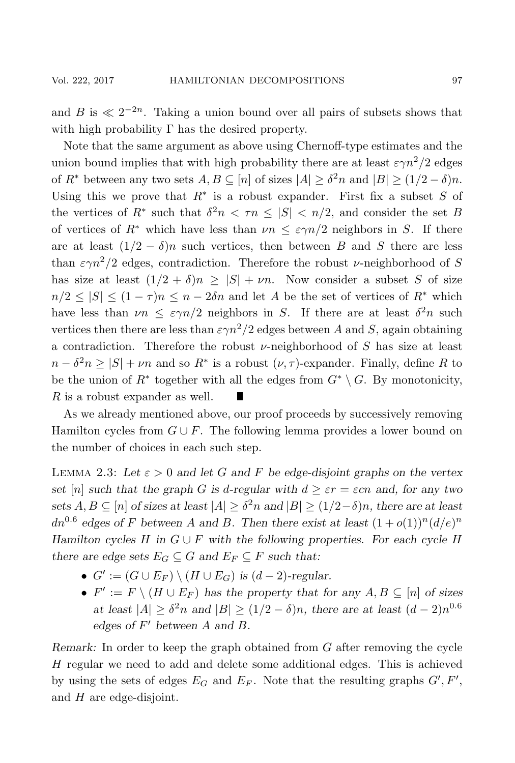and B is  $\ll 2^{-2n}$ . Taking a union bound over all pairs of subsets shows that with high probability  $\Gamma$  has the desired property.

Note that the same argument as above using Chernoff-type estimates and the union bound implies that with high probability there are at least  $\varepsilon \gamma n^2/2$  edges of  $R^*$  between any two sets  $A, B \subseteq [n]$  of sizes  $|A| \geq \delta^2 n$  and  $|B| \geq (1/2 - \delta)n$ . Using this we prove that  $R^*$  is a robust expander. First fix a subset S of the vertices of  $R^*$  such that  $\delta^2 n \leq \tau n \leq |S| \leq n/2$ , and consider the set B of vertices of  $R^*$  which have less than  $\nu n \leq \varepsilon \gamma n/2$  neighbors in S. If there are at least  $(1/2 - \delta)n$  such vertices, then between B and S there are less than  $\varepsilon \gamma n^2/2$  edges, contradiction. Therefore the robust *v*-neighborhood of S has size at least  $(1/2 + \delta)n \geq |S| + \nu n$ . Now consider a subset S of size  $n/2 \leq |S| \leq (1 - \tau)n \leq n - 2\delta n$  and let A be the set of vertices of  $R^*$  which have less than  $\nu n \leq \varepsilon \gamma n/2$  neighbors in S. If there are at least  $\delta^2 n$  such vertices then there are less than  $\epsilon \gamma n^2/2$  edges between A and S, again obtaining a contradiction. Therefore the robust  $\nu$ -neighborhood of S has size at least  $n - \delta^2 n \geq |S| + \nu n$  and so  $R^*$  is a robust  $(\nu, \tau)$ -expander. Finally, define R to be the union of  $R^*$  together with all the edges from  $G^* \setminus G$ . By monotonicity, R is a robust expander as well. П

As we already mentioned above, our proof proceeds by successively removing Hamilton cycles from  $G \cup F$ . The following lemma provides a lower bound on the number of choices in each such step.

LEMMA 2.3: Let  $\varepsilon > 0$  and let G and F be edge-disjoint graphs on the vertex *set* [n] *such that the graph* G *is* d-regular with  $d \geq \varepsilon r = \varepsilon cn$  and, for any two *sets*  $A, B \subseteq [n]$  *of sizes at least*  $|A| \geq \delta^2 n$  *and*  $|B| \geq (1/2 - \delta)n$ *, there are at least*  $dn^{0.6}$  edges of F between A and B. Then there exist at least  $(1+o(1))^n(d/e)^n$ *Hamilton cycles*  $H$  *in*  $G \cup F$  *with the following properties. For each cycle*  $H$ *there are edge sets*  $E_G \subseteq G$  *and*  $E_F \subseteq F$  *such that:* 

- $G' := (G \cup E_F) \setminus (H \cup E_G)$  *is*  $(d-2)$ -regular.
- $F' := F \setminus (H \cup E_F)$  has the property that for any  $A, B \subseteq [n]$  of sizes *at least*  $|A| \geq \delta^2 n$  *and*  $|B| \geq (1/2 - \delta)n$ *, there are at least*  $(d-2)n^{0.6}$ *edges of*  $F'$  *between*  $A$  *and*  $B$ *.*

*Remark:* In order to keep the graph obtained from G after removing the cycle H regular we need to add and delete some additional edges. This is achieved by using the sets of edges  $E_G$  and  $E_F$ . Note that the resulting graphs  $G', F',$ and H are edge-disjoint.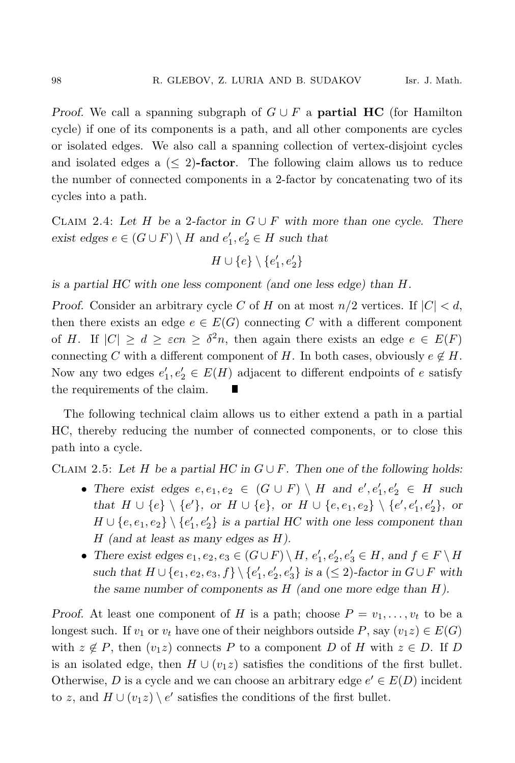*Proof.* We call a spanning subgraph of  $G \cup F$  a **partial HC** (for Hamilton cycle) if one of its components is a path, and all other components are cycles or isolated edges. We also call a spanning collection of vertex-disjoint cycles and isolated edges a (≤ 2)**-factor**. The following claim allows us to reduce the number of connected components in a 2-factor by concatenating two of its cycles into a path.

CLAIM 2.4: Let H be a 2-factor in  $G \cup F$  with more than one cycle. There *exist edges*  $e \in (G \cup F) \setminus H$  *and*  $e'_1, e'_2 \in H$  *such that* 

$$
H\cup \{e\}\setminus \{e'_1,e'_2\}
$$

*is a partial HC with one less component (and one less edge) than* H*.*

*Proof.* Consider an arbitrary cycle C of H on at most  $n/2$  vertices. If  $|C| < d$ , then there exists an edge  $e \in E(G)$  connecting C with a different component of H. If  $|C| \geq d \geq \varepsilon cn \geq \delta^2 n$ , then again there exists an edge  $e \in E(F)$ connecting C with a different component of H. In both cases, obviously  $e \notin H$ . Now any two edges  $e'_1, e'_2 \in E(H)$  adjacent to different endpoints of e satisfy the requirements of the claim.

The following technical claim allows us to either extend a path in a partial HC, thereby reducing the number of connected components, or to close this path into a cycle.

CLAIM 2.5: Let  $H$  be a partial  $HC$  in  $G \cup F$ . Then one of the following holds:

- There exist edges  $e, e_1, e_2 \in (G \cup F) \setminus H$  and  $e', e'_1, e'_2 \in H$  such *that*  $H \cup \{e\} \setminus \{e'\}$ , or  $H \cup \{e\}$ , or  $H \cup \{e, e_1, e_2\} \setminus \{e', e'_1, e'_2\}$ , or  $H \cup \{e, e_1, e_2\} \setminus \{e_1', e_2'\}$  is a partial HC with one less component than H *(and at least as many edges as* H*).*
- There exist edges  $e_1, e_2, e_3 \in (G \cup F) \setminus H$ ,  $e'_1, e'_2, e'_3 \in H$ , and  $f \in F \setminus H$ *such that*  $H \cup \{e_1, e_2, e_3, f\} \setminus \{e'_1, e'_2, e'_3\}$  *is a* (≤ 2)*-factor in*  $G \cup F$  *with the same number of components as* H *(and one more edge than* H*).*

*Proof.* At least one component of H is a path; choose  $P = v_1, \ldots, v_t$  to be a longest such. If  $v_1$  or  $v_t$  have one of their neighbors outside P, say  $(v_1z) \in E(G)$ with  $z \notin P$ , then  $(v_1z)$  connects P to a component D of H with  $z \in D$ . If D is an isolated edge, then  $H \cup (v_1 z)$  satisfies the conditions of the first bullet. Otherwise, D is a cycle and we can choose an arbitrary edge  $e' \in E(D)$  incident to z, and  $H \cup (v_1 z) \setminus e'$  satisfies the conditions of the first bullet.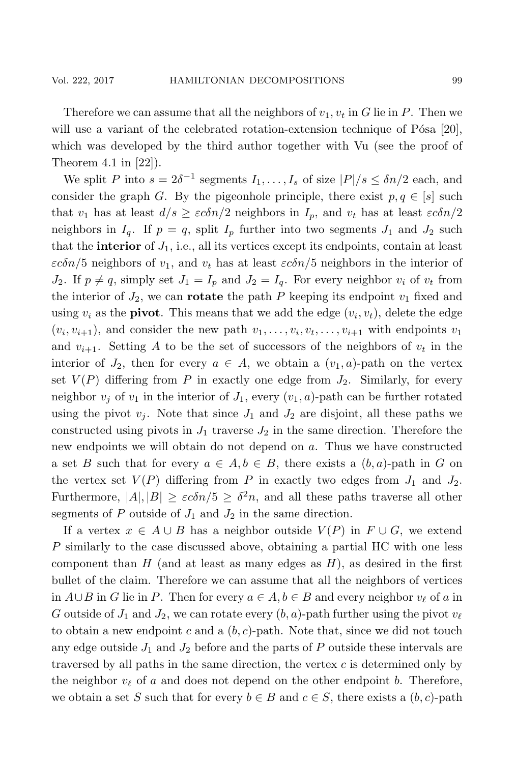Therefore we can assume that all the neighbors of  $v_1, v_t$  in G lie in P. Then we will use a variant of the celebrated rotation-extension technique of P $\delta$ sa [20], which was developed by the third author together with Vu (see the proof of Theorem 4.1 in [22]).

We split P into  $s = 2\delta^{-1}$  segments  $I_1, \ldots, I_s$  of size  $|P|/s \leq \delta n/2$  each, and consider the graph G. By the pigeonhole principle, there exist  $p, q \in [s]$  such that  $v_1$  has at least  $d/s \geq \varepsilon c \delta n/2$  neighbors in  $I_p$ , and  $v_t$  has at least  $\varepsilon c \delta n/2$ neighbors in  $I_q$ . If  $p = q$ , split  $I_p$  further into two segments  $J_1$  and  $J_2$  such that the **interior** of  $J_1$ , i.e., all its vertices except its endpoints, contain at least  $\varepsilon c\delta n/5$  neighbors of  $v_1$ , and  $v_t$  has at least  $\varepsilon c\delta n/5$  neighbors in the interior of  $J_2$ . If  $p \neq q$ , simply set  $J_1 = I_p$  and  $J_2 = I_q$ . For every neighbor  $v_i$  of  $v_t$  from the interior of  $J_2$ , we can **rotate** the path P keeping its endpoint  $v_1$  fixed and using  $v_i$  as the **pivot**. This means that we add the edge  $(v_i, v_t)$ , delete the edge  $(v_i, v_{i+1})$ , and consider the new path  $v_1, \ldots, v_i, v_t, \ldots, v_{i+1}$  with endpoints  $v_1$ and  $v_{i+1}$ . Setting A to be the set of successors of the neighbors of  $v_t$  in the interior of  $J_2$ , then for every  $a \in A$ , we obtain a  $(v_1, a)$ -path on the vertex set  $V(P)$  differing from P in exactly one edge from  $J_2$ . Similarly, for every neighbor  $v_i$  of  $v_1$  in the interior of  $J_1$ , every  $(v_1, a)$ -path can be further rotated using the pivot  $v_j$ . Note that since  $J_1$  and  $J_2$  are disjoint, all these paths we constructed using pivots in  $J_1$  traverse  $J_2$  in the same direction. Therefore the new endpoints we will obtain do not depend on a. Thus we have constructed a set B such that for every  $a \in A, b \in B$ , there exists a  $(b, a)$ -path in G on the vertex set  $V(P)$  differing from P in exactly two edges from  $J_1$  and  $J_2$ . Furthermore,  $|A|, |B| \geq \varepsilon c \delta n/5 \geq \delta^2 n$ , and all these paths traverse all other segments of P outside of  $J_1$  and  $J_2$  in the same direction.

If a vertex  $x \in A \cup B$  has a neighbor outside  $V(P)$  in  $F \cup G$ , we extend P similarly to the case discussed above, obtaining a partial HC with one less component than  $H$  (and at least as many edges as  $H$ ), as desired in the first bullet of the claim. Therefore we can assume that all the neighbors of vertices in  $A ∪ B$  in G lie in P. Then for every  $a ∈ A, b ∈ B$  and every neighbor  $v_{\ell}$  of a in G outside of  $J_1$  and  $J_2$ , we can rotate every  $(b, a)$ -path further using the pivot  $v_{\ell}$ to obtain a new endpoint c and a  $(b, c)$ -path. Note that, since we did not touch any edge outside  $J_1$  and  $J_2$  before and the parts of  $P$  outside these intervals are traversed by all paths in the same direction, the vertex c is determined only by the neighbor  $v_{\ell}$  of a and does not depend on the other endpoint b. Therefore, we obtain a set S such that for every  $b \in B$  and  $c \in S$ , there exists a  $(b, c)$ -path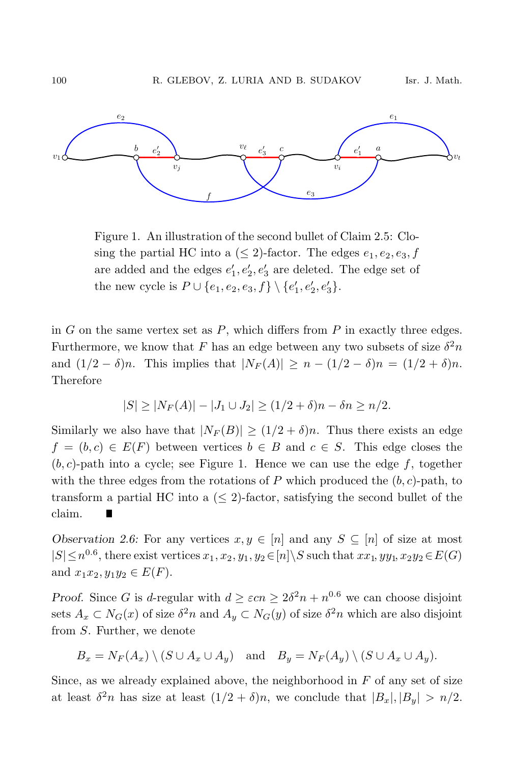

Figure 1. An illustration of the second bullet of Claim 2.5: Closing the partial HC into a  $(\leq 2)$ -factor. The edges  $e_1, e_2, e_3, f$ are added and the edges  $e'_1, e'_2, e'_3$  are deleted. The edge set of the new cycle is  $P \cup \{e_1, e_2, e_3, f\} \setminus \{e'_1, e'_2, e'_3\}.$ 

in  $G$  on the same vertex set as  $P$ , which differs from  $P$  in exactly three edges. Furthermore, we know that F has an edge between any two subsets of size  $\delta^2 n$ and  $(1/2 - \delta)n$ . This implies that  $|N_F(A)| \ge n - (1/2 - \delta)n = (1/2 + \delta)n$ . Therefore

$$
|S| \ge |N_F(A)| - |J_1 \cup J_2| \ge (1/2 + \delta)n - \delta n \ge n/2.
$$

Similarly we also have that  $|N_F(B)| \ge (1/2 + \delta)n$ . Thus there exists an edge  $f = (b, c) \in E(F)$  between vertices  $b \in B$  and  $c \in S$ . This edge closes the  $(b, c)$ -path into a cycle; see Figure 1. Hence we can use the edge f, together with the three edges from the rotations of  $P$  which produced the  $(b, c)$ -path, to transform a partial HC into a  $(\leq 2)$ -factor, satisfying the second bullet of the claim.

*Observation 2.6:* For any vertices  $x, y \in [n]$  and any  $S \subseteq [n]$  of size at most  $|S| \leq n^{0.6}$ , there exist vertices  $x_1, x_2, y_1, y_2 \in [n] \backslash S$  such that  $xx_1, yy_1, x_2y_2 \in E(G)$ and  $x_1x_2, y_1y_2 \in E(F)$ .

*Proof.* Since G is d-regular with  $d \geq \varepsilon c n \geq 2\delta^2 n + n^{0.6}$  we can choose disjoint sets  $A_x \,\subset N_G(x)$  of size  $\delta^2 n$  and  $A_y \subset N_G(y)$  of size  $\delta^2 n$  which are also disjoint from S. Further, we denote

$$
B_x = N_F(A_x) \setminus (S \cup A_x \cup A_y)
$$
 and  $B_y = N_F(A_y) \setminus (S \cup A_x \cup A_y)$ .

Since, as we already explained above, the neighborhood in  $F$  of any set of size at least  $\delta^2 n$  has size at least  $(1/2 + \delta)n$ , we conclude that  $|B_x|, |B_y| > n/2$ .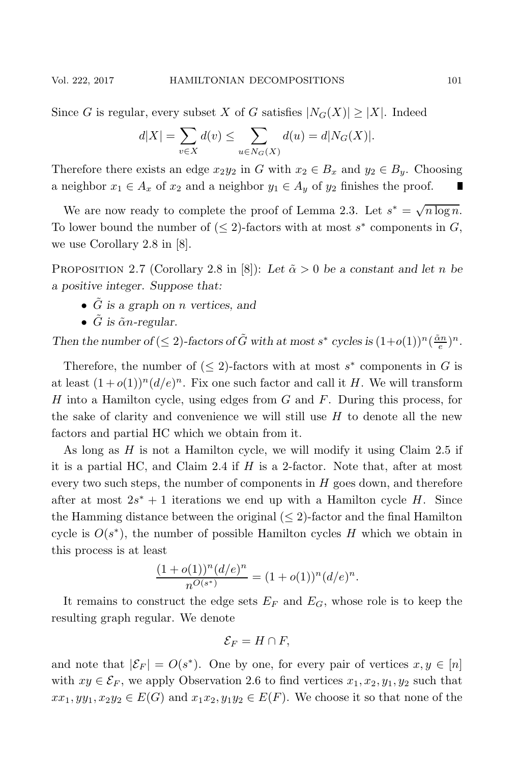Since G is regular, every subset X of G satisfies  $|N_G(X)| \geq |X|$ . Indeed

$$
d|X| = \sum_{v \in X} d(v) \le \sum_{u \in N_G(X)} d(u) = d|N_G(X)|.
$$

Therefore there exists an edge  $x_2y_2$  in G with  $x_2 \in B_x$  and  $y_2 \in B_y$ . Choosing a neighbor  $x_1 \in A_x$  of  $x_2$  and a neighbor  $y_1 \in A_y$  of  $y_2$  finishes the proof.

We are now ready to complete the proof of Lemma 2.3. Let  $s^* = \sqrt{n \log n}$ . To lower bound the number of  $\left(\leq 2\right)$ -factors with at most s<sup>\*</sup> components in G, we use Corollary 2.8 in [8].

PROPOSITION 2.7 (Corollary 2.8 in [8]): Let  $\tilde{\alpha} > 0$  be a constant and let n be *a positive integer. Suppose that:*

- G˜ *is a graph on* n *vertices, and*
- $\tilde{G}$  *is*  $\tilde{\alpha}n$ -regular.

*Then the number of* ( $\leq 2$ )-factors of  $\tilde{G}$  with at most  $s^*$  cycles is  $(1+o(1))^n(\frac{\tilde{\alpha}n}{e})^n$ .

Therefore, the number of  $(\leq 2)$ -factors with at most s<sup>\*</sup> components in G is at least  $(1+o(1))^n(d/e)^n$ . Fix one such factor and call it H. We will transform H into a Hamilton cycle, using edges from  $G$  and  $F$ . During this process, for the sake of clarity and convenience we will still use  $H$  to denote all the new factors and partial HC which we obtain from it.

As long as  $H$  is not a Hamilton cycle, we will modify it using Claim 2.5 if it is a partial HC, and Claim 2.4 if  $H$  is a 2-factor. Note that, after at most every two such steps, the number of components in  $H$  goes down, and therefore after at most  $2s^* + 1$  iterations we end up with a Hamilton cycle H. Since the Hamming distance between the original  $(\leq 2)$ -factor and the final Hamilton cycle is  $O(s^*)$ , the number of possible Hamilton cycles H which we obtain in this process is at least

$$
\frac{(1+o(1))^n(d/e)^n}{n^{O(s^*)}} = (1+o(1))^n(d/e)^n.
$$

It remains to construct the edge sets  $E_F$  and  $E_G$ , whose role is to keep the resulting graph regular. We denote

$$
\mathcal{E}_F = H \cap F
$$

and note that  $|\mathcal{E}_F| = O(s^*)$ . One by one, for every pair of vertices  $x, y \in [n]$ with  $xy \in \mathcal{E}_F$ , we apply Observation 2.6 to find vertices  $x_1, x_2, y_1, y_2$  such that  $xx_1, yy_1, x_2y_2 \in E(G)$  and  $x_1x_2, y_1y_2 \in E(F)$ . We choose it so that none of the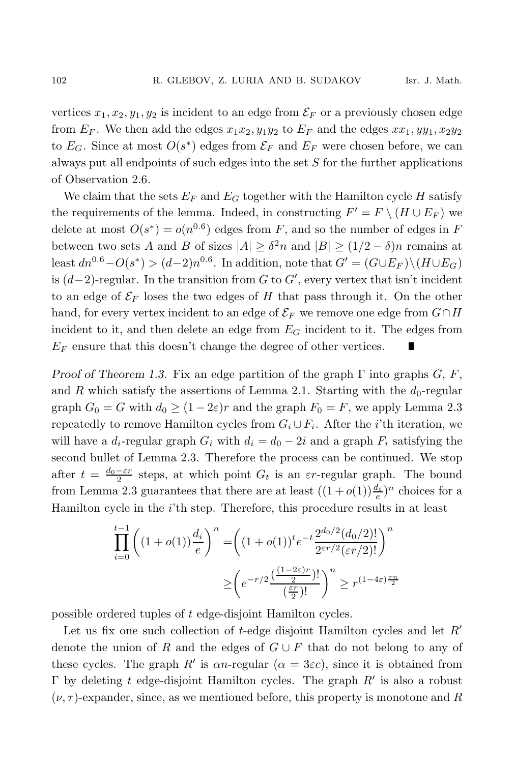vertices  $x_1, x_2, y_1, y_2$  is incident to an edge from  $\mathcal{E}_F$  or a previously chosen edge from  $E_F$ . We then add the edges  $x_1x_2, y_1y_2$  to  $E_F$  and the edges  $xx_1, yy_1, x_2y_2$ to  $E_G$ . Since at most  $O(s^*)$  edges from  $\mathcal{E}_F$  and  $E_F$  were chosen before, we can always put all endpoints of such edges into the set S for the further applications of Observation 2.6.

We claim that the sets  $E_F$  and  $E_G$  together with the Hamilton cycle H satisfy the requirements of the lemma. Indeed, in constructing  $F' = F \setminus (H \cup E_F)$  we delete at most  $O(s^*) = o(n^{0.6})$  edges from F, and so the number of edges in F between two sets A and B of sizes  $|A| \geq \delta^2 n$  and  $|B| \geq (1/2 - \delta)n$  remains at least  $dn^{0.6}-O(s^*)$  >  $(d-2)n^{0.6}$ . In addition, note that  $G' = (G \cup E_F) \setminus (H \cup E_G)$ is  $(d-2)$ -regular. In the transition from G to G', every vertex that isn't incident to an edge of  $\mathcal{E}_F$  loses the two edges of H that pass through it. On the other hand, for every vertex incident to an edge of  $\mathcal{E}_F$  we remove one edge from  $G \cap H$ incident to it, and then delete an edge from  $E_G$  incident to it. The edges from  $E_F$  ensure that this doesn't change the degree of other vertices. П

*Proof of Theorem 1.3.* Fix an edge partition of the graph  $\Gamma$  into graphs  $G, F$ , and R which satisfy the assertions of Lemma 2.1. Starting with the  $d_0$ -regular graph  $G_0 = G$  with  $d_0 \ge (1 - 2\varepsilon)r$  and the graph  $F_0 = F$ , we apply Lemma 2.3 repeatedly to remove Hamilton cycles from  $G_i \cup F_i$ . After the *i*'th iteration, we will have a  $d_i$ -regular graph  $G_i$  with  $d_i = d_0 - 2i$  and a graph  $F_i$  satisfying the second bullet of Lemma 2.3. Therefore the process can be continued. We stop after  $t = \frac{d_0 - \varepsilon r}{2}$  steps, at which point  $G_t$  is an  $\varepsilon r$ -regular graph. The bound from Lemma 2.3 guarantees that there are at least  $((1+o(1))\frac{d_i}{e})^n$  choices for a Hamilton cycle in the *i*'th step. Therefore, this procedure results in at least

$$
\prod_{i=0}^{t-1} \left( (1+o(1)) \frac{d_i}{e} \right)^n = \left( (1+o(1))^t e^{-t} \frac{2^{d_0/2} (d_0/2)!}{2^{\varepsilon r/2} (\varepsilon r/2)!} \right)^n
$$

$$
\geq \left( e^{-r/2} \frac{\left( \frac{(1-2\varepsilon)r}{2} \right)!}{\left( \frac{\varepsilon r}{2} \right)!} \right)^n \geq r^{(1-4\varepsilon)\frac{rn}{2}}
$$

possible ordered tuples of t edge-disjoint Hamilton cycles.

Let us fix one such collection of  $t$ -edge disjoint Hamilton cycles and let  $R'$ denote the union of R and the edges of  $G \cup F$  that do not belong to any of these cycles. The graph R' is  $\alpha n$ -regular ( $\alpha = 3\varepsilon c$ ), since it is obtained from Γ by deleting t edge-disjoint Hamilton cycles. The graph  $R'$  is also a robust  $(\nu, \tau)$ -expander, since, as we mentioned before, this property is monotone and R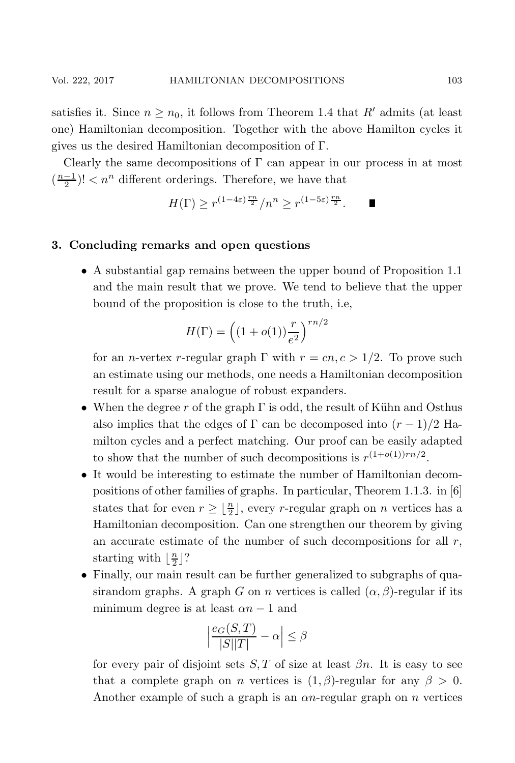satisfies it. Since  $n > n_0$ , it follows from Theorem 1.4 that R' admits (at least one) Hamiltonian decomposition. Together with the above Hamilton cycles it gives us the desired Hamiltonian decomposition of Γ.

Clearly the same decompositions of  $\Gamma$  can appear in our process in at most  $(\frac{n-1}{2})!< n^n$  different orderings. Therefore, we have that

$$
H(\Gamma) \ge r^{(1-4\varepsilon)\frac{rn}{2}}/n^n \ge r^{(1-5\varepsilon)\frac{rn}{2}}.
$$

# **3. Concluding remarks and open questions**

• A substantial gap remains between the upper bound of Proposition 1.1 and the main result that we prove. We tend to believe that the upper bound of the proposition is close to the truth, i.e,

$$
H(\Gamma) = \left( (1 + o(1)) \frac{r}{e^2} \right)^{rn/2}
$$

for an *n*-vertex *r*-regular graph  $\Gamma$  with  $r = cn, c > 1/2$ . To prove such an estimate using our methods, one needs a Hamiltonian decomposition result for a sparse analogue of robust expanders.

- When the degree r of the graph  $\Gamma$  is odd, the result of Kühn and Osthus also implies that the edges of  $\Gamma$  can be decomposed into  $(r-1)/2$  Hamilton cycles and a perfect matching. Our proof can be easily adapted to show that the number of such decompositions is  $r^{(1+o(1))rn/2}$ .
- It would be interesting to estimate the number of Hamiltonian decompositions of other families of graphs. In particular, Theorem 1.1.3. in [6] states that for even  $r \geq \lfloor \frac{n}{2} \rfloor$ , every r-regular graph on n vertices has a Hamiltonian decomposition. Can one strengthen our theorem by giving an accurate estimate of the number of such decompositions for all  $r$ , starting with  $\lfloor \frac{n}{2} \rfloor$ ?
- Finally, our main result can be further generalized to subgraphs of quasirandom graphs. A graph G on n vertices is called  $(\alpha, \beta)$ -regular if its minimum degree is at least  $\alpha n - 1$  and

$$
\Big|\frac{e_G(S,T)}{|S||T|} - \alpha\Big| \leq \beta
$$

for every pair of disjoint sets  $S, T$  of size at least  $\beta n$ . It is easy to see that a complete graph on *n* vertices is  $(1, \beta)$ -regular for any  $\beta > 0$ . Another example of such a graph is an  $\alpha n$ -regular graph on n vertices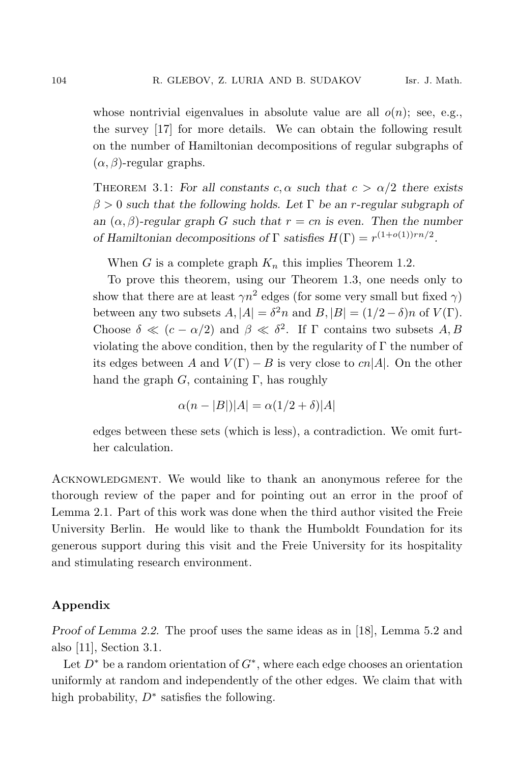whose nontrivial eigenvalues in absolute value are all  $o(n)$ ; see, e.g., the survey [17] for more details. We can obtain the following result on the number of Hamiltonian decompositions of regular subgraphs of  $(\alpha, \beta)$ -regular graphs.

THEOREM 3.1: For all constants  $c, \alpha$  such that  $c > \alpha/2$  there exists β > 0 *such that the following holds. Let* Γ *be an* r*-regular subgraph of an*  $(\alpha, \beta)$ -regular graph G such that  $r = cn$  is even. Then the number *of Hamiltonian decompositions of*  $\Gamma$  *satisfies*  $H(\Gamma) = r^{(1+o(1))rn/2}$ .

When G is a complete graph  $K_n$  this implies Theorem 1.2.

To prove this theorem, using our Theorem 1.3, one needs only to show that there are at least  $\gamma n^2$  edges (for some very small but fixed  $\gamma$ ) between any two subsets  $A, |A| = \delta^2 n$  and  $B, |B| = (1/2 - \delta)n$  of  $V(\Gamma)$ . Choose  $\delta \ll (c - \alpha/2)$  and  $\beta \ll \delta^2$ . If  $\Gamma$  contains two subsets A, B violating the above condition, then by the regularity of  $\Gamma$  the number of its edges between A and  $V(\Gamma) - B$  is very close to  $cn|A|$ . On the other hand the graph  $G$ , containing  $\Gamma$ , has roughly

$$
\alpha(n-|B|)|A| = \alpha(1/2+\delta)|A|
$$

edges between these sets (which is less), a contradiction. We omit further calculation.

Acknowledgment. We would like to thank an anonymous referee for the thorough review of the paper and for pointing out an error in the proof of Lemma 2.1. Part of this work was done when the third author visited the Freie University Berlin. He would like to thank the Humboldt Foundation for its generous support during this visit and the Freie University for its hospitality and stimulating research environment.

# **Appendix**

*Proof of Lemma 2.2.* The proof uses the same ideas as in [18], Lemma 5.2 and also [11], Section 3.1.

Let  $D^*$  be a random orientation of  $G^*$ , where each edge chooses an orientation uniformly at random and independently of the other edges. We claim that with high probability,  $D^*$  satisfies the following.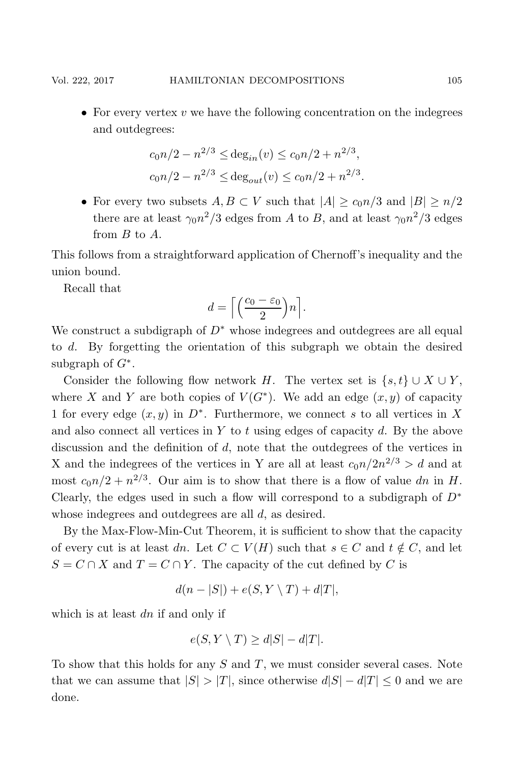• For every vertex  $v$  we have the following concentration on the indegrees and outdegrees:

$$
c_0 n/2 - n^{2/3} \le \deg_{in}(v) \le c_0 n/2 + n^{2/3},
$$
  
 $c_0 n/2 - n^{2/3} \le \deg_{out}(v) \le c_0 n/2 + n^{2/3}.$ 

• For every two subsets  $A, B \subset V$  such that  $|A| \geq c_0 n/3$  and  $|B| \geq n/2$ there are at least  $\gamma_0 n^2/3$  edges from A to B, and at least  $\gamma_0 n^2/3$  edges from B to A.

This follows from a straightforward application of Chernoff's inequality and the union bound.

Recall that

$$
d = \left\lceil \left( \frac{c_0 - \varepsilon_0}{2} \right) n \right\rceil.
$$

We construct a subdigraph of  $D^*$  whose indegrees and outdegrees are all equal to d. By forgetting the orientation of this subgraph we obtain the desired subgraph of  $G^*$ .

Consider the following flow network H. The vertex set is  $\{s, t\} \cup X \cup Y$ , where X and Y are both copies of  $V(G^*)$ . We add an edge  $(x, y)$  of capacity 1 for every edge  $(x, y)$  in  $D^*$ . Furthermore, we connect s to all vertices in X and also connect all vertices in Y to t using edges of capacity d. By the above discussion and the definition of d, note that the outdegrees of the vertices in X and the indegrees of the vertices in Y are all at least  $c_0n/2n^{2/3} > d$  and at most  $c_0n/2 + n^{2/3}$ . Our aim is to show that there is a flow of value dn in H. Clearly, the edges used in such a flow will correspond to a subdigraph of  $D^*$ whose indegrees and outdegrees are all d, as desired.

By the Max-Flow-Min-Cut Theorem, it is sufficient to show that the capacity of every cut is at least dn. Let  $C \subset V(H)$  such that  $s \in C$  and  $t \notin C$ , and let  $S = C \cap X$  and  $T = C \cap Y$ . The capacity of the cut defined by C is

$$
d(n-|S|) + e(S, Y \setminus T) + d|T|,
$$

which is at least  $dn$  if and only if

$$
e(S, Y \setminus T) \ge d|S| - d|T|.
$$

To show that this holds for any  $S$  and  $T$ , we must consider several cases. Note that we can assume that  $|S| > |T|$ , since otherwise  $d|S| - d|T| \leq 0$  and we are done.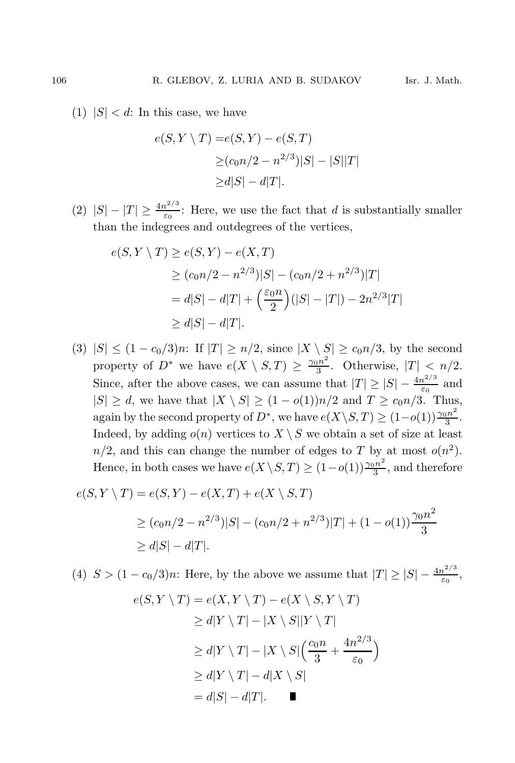(1)  $|S| < d$ : In this case, we have

$$
e(S, Y \setminus T) = e(S, Y) - e(S, T)
$$
  
\n
$$
\ge (c_0 n/2 - n^{2/3})|S| - |S||T|
$$
  
\n
$$
\ge d|S| - d|T|.
$$

(2)  $|S| - |T| \ge \frac{4n^{2/3}}{\varepsilon_0}$ : Here, we use the fact that d is substantially smaller than the indegrees and outdegrees of the vertices,

$$
e(S, Y \setminus T) \ge e(S, Y) - e(X, T)
$$
  
\n
$$
\ge (c_0 n/2 - n^{2/3})|S| - (c_0 n/2 + n^{2/3})|T|
$$
  
\n
$$
= d|S| - d|T| + \left(\frac{\varepsilon_0 n}{2}\right)(|S| - |T|) - 2n^{2/3}|T|
$$
  
\n
$$
\ge d|S| - d|T|.
$$

(3)  $|S| \leq (1 - c_0/3)n$ : If  $|T| \geq n/2$ , since  $|X \setminus S| \geq c_0 n/3$ , by the second property of  $D^*$  we have  $e(X \setminus S, T) \geq \frac{\gamma_0 n^2}{3}$ . Otherwise,  $|T| < n/2$ . Since, after the above cases, we can assume that  $|T| \ge |S| - \frac{4n^{2/3}}{\varepsilon_0}$  and  $|S| \geq d$ , we have that  $|X \setminus S| \geq (1 - o(1))n/2$  and  $T \geq c_0 n/3$ . Thus, again by the second property of  $D^*$ , we have  $e(X \setminus S, T) \geq (1 - o(1)) \frac{\gamma_0 n^2}{3}$ . Indeed, by adding  $o(n)$  vertices to  $X \setminus S$  we obtain a set of size at least  $n/2$ , and this can change the number of edges to T by at most  $o(n^2)$ . Hence, in both cases we have  $e(X \setminus S, T) \ge (1 - o(1)) \frac{\gamma_0 n^2}{3}$ , and therefore

$$
e(S, Y \setminus T) = e(S, Y) - e(X, T) + e(X \setminus S, T)
$$
  
\n
$$
\ge (c_0 n/2 - n^{2/3})|S| - (c_0 n/2 + n^{2/3})|T| + (1 - o(1))\frac{\gamma_0 n^2}{3}
$$
  
\n
$$
\ge d|S| - d|T|.
$$

(4)  $S > (1 - c_0/3)n$ : Here, by the above we assume that  $|T| \ge |S| - \frac{4n^{2/3}}{\varepsilon_0}$ ,

$$
e(S, Y \setminus T) = e(X, Y \setminus T) - e(X \setminus S, Y \setminus T)
$$
  
\n
$$
\ge d|Y \setminus T| - |X \setminus S||Y \setminus T|
$$
  
\n
$$
\ge d|Y \setminus T| - |X \setminus S|\left(\frac{c_0 n}{3} + \frac{4n^{2/3}}{\varepsilon_0}\right)
$$
  
\n
$$
\ge d|Y \setminus T| - d|X \setminus S|
$$
  
\n
$$
= d|S| - d|T|.
$$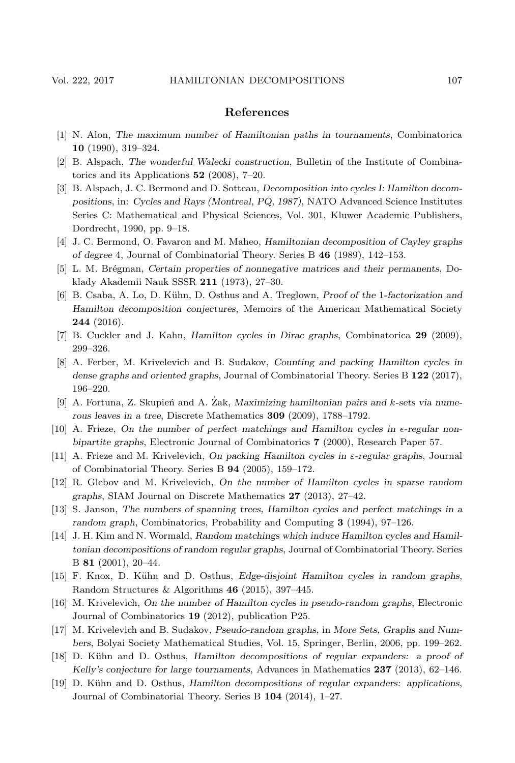## **References**

- [1] N. Alon, *The maximum number of Hamiltonian paths in tournaments*, Combinatorica **10** (1990), 319–324.
- [2] B. Alspach, *The wonderful Walecki construction*, Bulletin of the Institute of Combinatorics and its Applications **52** (2008), 7–20.
- [3] B. Alspach, J. C. Bermond and D. Sotteau, *Decomposition into cycles I: Hamilton decompositions*, in: *Cycles and Rays (Montreal, PQ, 1987)*, NATO Advanced Science Institutes Series C: Mathematical and Physical Sciences, Vol. 301, Kluwer Academic Publishers, Dordrecht, 1990, pp. 9–18.
- [4] J. C. Bermond, O. Favaron and M. Maheo, *Hamiltonian decomposition of Cayley graphs of degree* 4, Journal of Combinatorial Theory. Series B **46** (1989), 142–153.
- [5] L. M. Br´egman, *Certain properties of nonnegative matrices and their permanents*, Doklady Akademii Nauk SSSR **211** (1973), 27–30.
- [6] B. Csaba, A. Lo, D. K¨uhn, D. Osthus and A. Treglown, *Proof of the* 1*-factorization and Hamilton decomposition conjectures*, Memoirs of the American Mathematical Society **244** (2016).
- [7] B. Cuckler and J. Kahn, *Hamilton cycles in Dirac graphs*, Combinatorica **29** (2009), 299–326.
- [8] A. Ferber, M. Krivelevich and B. Sudakov, *Counting and packing Hamilton cycles in dense graphs and oriented graphs*, Journal of Combinatorial Theory. Series B **122** (2017), 196–220.
- [9] A. Fortuna, Z. Skupień and A. Zak, *Maximizing hamiltonian pairs and k-sets via numerous leaves in a tree*, Discrete Mathematics **309** (2009), 1788–1792.
- [10] A. Frieze, *On the number of perfect matchings and Hamilton cycles in* -*-regular nonbipartite graphs*, Electronic Journal of Combinatorics **7** (2000), Research Paper 57.
- [11] A. Frieze and M. Krivelevich, *On packing Hamilton cycles in* ε*-regular graphs*, Journal of Combinatorial Theory. Series B **94** (2005), 159–172.
- [12] R. Glebov and M. Krivelevich, *On the number of Hamilton cycles in sparse random graphs*, SIAM Journal on Discrete Mathematics **27** (2013), 27–42.
- [13] S. Janson, *The numbers of spanning trees, Hamilton cycles and perfect matchings in a random graph*, Combinatorics, Probability and Computing **3** (1994), 97–126.
- [14] J. H. Kim and N. Wormald, *Random matchings which induce Hamilton cycles and Hamiltonian decompositions of random regular graphs*, Journal of Combinatorial Theory. Series B **81** (2001), 20–44.
- [15] F. Knox, D. Kühn and D. Osthus, *Edge-disjoint Hamilton cycles in random graphs*, Random Structures & Algorithms **46** (2015), 397–445.
- [16] M. Krivelevich, *On the number of Hamilton cycles in pseudo-random graphs*, Electronic Journal of Combinatorics **19** (2012), publication P25.
- [17] M. Krivelevich and B. Sudakov, *Pseudo-random graphs*, in *More Sets, Graphs and Numbers*, Bolyai Society Mathematical Studies, Vol. 15, Springer, Berlin, 2006, pp. 199–262.
- [18] D. K¨uhn and D. Osthus, *Hamilton decompositions of regular expanders: a proof of Kelly's conjecture for large tournaments*, Advances in Mathematics **237** (2013), 62–146.
- [19] D. K¨uhn and D. Osthus, *Hamilton decompositions of regular expanders: applications*, Journal of Combinatorial Theory. Series B **104** (2014), 1–27.